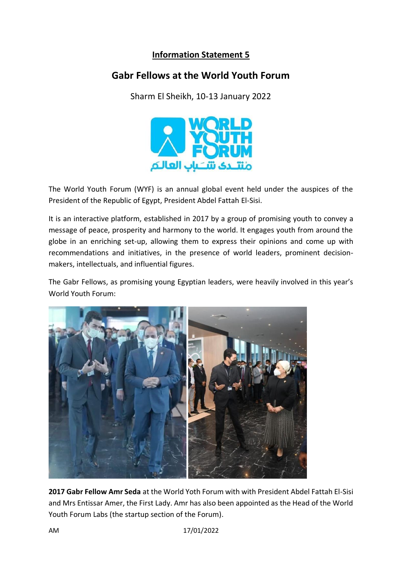## **Information Statement 5**

## **Gabr Fellows at the World Youth Forum**

Sharm El Sheikh, 10-13 January 2022



The World Youth Forum (WYF) is an annual global event held under the auspices of the President of the Republic of Egypt, President Abdel Fattah El-Sisi.

It is an interactive platform, established in 2017 by a group of promising youth to convey a message of peace, prosperity and harmony to the world. It engages youth from around the globe in an enriching set-up, allowing them to express their opinions and come up with recommendations and initiatives, in the presence of world leaders, prominent decisionmakers, intellectuals, and influential figures.

The Gabr Fellows, as promising young Egyptian leaders, were heavily involved in this year's World Youth Forum:



**2017 Gabr Fellow Amr Seda** at the World Yoth Forum with with President Abdel Fattah El-Sisi and Mrs Entissar Amer, the First Lady. Amr has also been appointed as the Head of the World Youth Forum Labs (the startup section of the Forum).